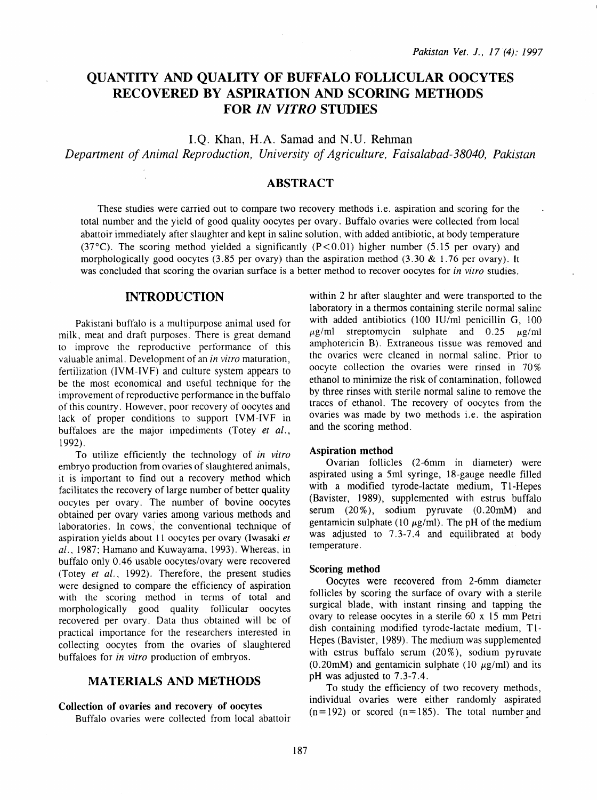# QUANTITY AND QUALITY OF BUFFALO FOLLICULAR OOCYTES RECOVERED BY ASPIRATION AND SCORING METHODS FOR *IN VITRO* STUDIES

I.Q. Khan, H.A. Samad and N.U. Rehman

*Department of Animal Reproduction, University of Agriculture, Faisalabad-38040, Pakistan* 

### ABSTRACT

These studies were carried out to compare two recovery methods i.e. aspiration and scoring for the total number and the yield of good quality oocytes per ovary. Buffalo ovaries were collected from local abattoir immediately after slaughter and kept in saline solution, with added antibiotic, at body temperature (37°C). The scoring method yielded a significantly (P<0.01) higher number (5.15 per ovary) and morphologically good oocytes (3.85 per ovary) than the aspiration method (3.30  $& 1.76$  per ovary). It was concluded that scoring the ovarian surface is a better method to recover oocytes for *in vitro* studies.

## INTRODUCTION

Pakistani buffalo is a multipurpose animal used for milk, meat and draft purposes. There is great demand to improve the reproductive performance of this valuable animal. Development of an *in vitro* maturation, fertilization (IVM-IVF) and culture system appears to be the most economical and useful technique for the improvement of reproductive performance in the buffalo of this country. However, poor recovery of oocytes and lack of proper conditions to support IVM-IVF in buffaloes are the major impediments (Totey *et al.,*  1992).

To utilize efficiently the technology of *in vitro*  embryo production from ovaries of slaughtered animals, it is important to find out a recovery method which facilitates the recovery of large number of better quality oocytes per ovary. The number of bovine oocytes obtained per ovary varies among various methods and laboratories. In cows, the conventional technique of aspiration yields about ll oocytes per ovary (Iwasaki *et al.,* 1987; Hamano and Kuwayama, 1993). Whereas, in buffalo only 0.46 usable oocytes/ovary were recovered (Totey *et al.,* 1992). Therefore, the present studies were designed to compare the efficiency of aspiration with the scoring method in terms of total and morphologically good quality follicular oocytes recovered per ovary. Data thus obtained will be of practical importance for the researchers interested in collecting oocytes from the ovaries of slaughtered buffaloes for *in vitro* production of embryos.

### MATERIALS AND METHODS

#### Collection of ovaries and recovery of oocytes

Buffalo ovaries were collected from local abattoir

within 2 hr after slaughter and were transported to the laboratory in a thermos containing sterile normal saline with added antibiotics (100 IU/ml penicillin G, 100  $\mu$ g/ml streptomycin sulphate and 0.25  $\mu$ g/ml amphotericin B). Extraneous tissue was removed and the ovaries were cleaned in normal saline. Prior to oocyte collection the ovaries were rinsed in 70% ethanol to minimize the risk of contamination, followed by three rinses with sterile normal saline to remove the traces of ethanol. The recovery of oocytes from the ovaries was made by two methods i.e. the aspiration and the scoring method.

### Aspiration method

Ovarian follicles (2-6mm in diameter) were aspirated using a 5ml syringe, 18-gauge needle filled with a modified tyrode-lactate medium, Tl-Hepes (Bavister, 1989), supplemented with estrus buffalo serum (20%), sodium pyruvate (0.20mM) and gentamicin sulphate (10  $\mu$ g/ml). The pH of the medium was adjusted to 7.3-7.4 and equilibrated at body temperature.

#### Scoring method

Oocytes were recovered from 2-6mm diameter follicles by scoring the surface of ovary with a sterile surgical blade, with instant rinsing and tapping the ovary to release oocytes in a sterile 60 x 15 mm Petri dish containing modified tyrode-lactate medium, T1-Hepes (Bavister, 1989). The medium was supplemented with estrus buffalo serum  $(20\%)$ , sodium pyruvate (0.20mM) and gentamicin sulphate (10  $\mu$ g/ml) and its pH was adjusted to 7. 3-7.4.

To study the efficiency of two recovery methods, individual ovaries were either randomly aspirated  $(n=192)$  or scored  $(n=185)$ . The total number and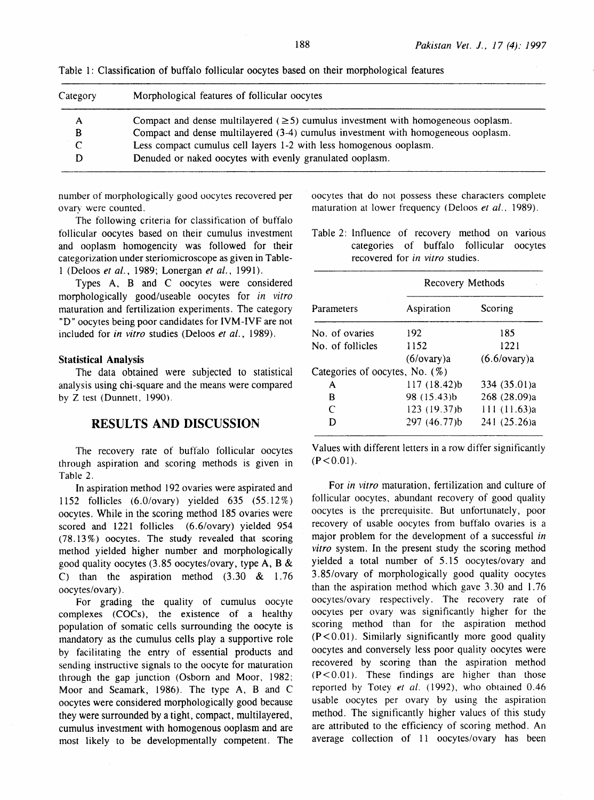| Category     | Morphological features of follicular oocytes                                            |  |
|--------------|-----------------------------------------------------------------------------------------|--|
| $\mathbf{A}$ | Compact and dense multilayered ( $\geq$ 5) cumulus investment with homogeneous ooplasm. |  |
| B            | Compact and dense multilayered (3-4) cumulus investment with homogeneous ooplasm.       |  |
| $\sqrt{ }$   | Less compact cumulus cell layers 1-2 with less homogenous ooplasm.                      |  |
|              | Denuded or naked oocytes with evenly granulated ooplasm.                                |  |

Table 1: Classification of buffalo follicular oocytes based on their morphological features

number of morphologically good oocytes recovered per ovary were counted.

The following criteria for classification of buffalo follicular oocytes based on their cumulus investment and ooplasm homogeneity was followed for their categorization under steriomicroscope as given in Table-1 (Deloos *et al.,* 1989; Lonergan *et al.,* 1991).

Types A, B and C oocytes were considered morphologically good/useable oocytes for *in vitro*  maturation and fertilization experiments. The category "D" oocytes being poor candidates for IVM-IVF are not included for *in vitro* studies (Deloos *et al.,* 1989).

#### **Statistical Analysis**

The data obtained were subjected to statistical analysis using chi-square and the means were compared by Z test (Dunnett, 1990).

### **RESULTS AND DISCUSSION**

The recovery rate of buffalo follicular oocytes through aspiration and scoring methods is given in Table 2.

In aspiration method 192 ovaries were aspirated and 1152 follicles (6.0/ovary) yielded 635 (55.12%) oocytes. While in the scoring method 185 ovaries were scored and 1221 follicles (6.6/ovary) yielded 954 (78. 13%) oocytes. The study revealed that scoring method yielded higher number and morphologically good quality oocytes (3. 85 oocytes/ovary, type A, **B** & C) than the aspiration method  $(3.30 \& 1.76)$ oocytes/ovary).

For grading the quality of cumulus oocyte complexes (COCs), the existence of a healthy population of somatic cells surrounding the oocyte is mandatory as the cumulus cells play a supportive role by facilitating the entry of essential products and sending instructive signals to the oocyte for maturation through the gap junction (Osborn and Moor, 1982; Moor and Seamark, 1986). The type A, B and C oocytes were considered morphologically good because they were surrounded by a tight, compact, multilayered, cumulus investment with homogenous ooplasm and are most likely to be developmentally competent. The

oocytes that do not possess these characters complete maturation at lower frequency *(* Deloos *et al.,* 1989).

Table 2: Influence of recovery method on various categories of buffalo follicular oocytes recovered for *in vitro* studies.

|                                   | Recovery Methods |              |  |
|-----------------------------------|------------------|--------------|--|
| Parameters                        | Aspiration       | Scoring      |  |
| No. of ovaries                    | 192              | 185          |  |
| No. of follicles                  | 1152             | 1221         |  |
|                                   | (6/ovary)a       | (6.6/ovary)a |  |
| Categories of oocytes, No. $(\%)$ |                  |              |  |
| A                                 | 117 (18.42)b     | 334 (35.01)a |  |
| B                                 | 98 (15.43)b      | 268 (28.09)a |  |
| $\subset$                         | 123 (19.37)b     | 111 (11.63)a |  |
| D                                 | 297 (46.77)b     | 241 (25.26)a |  |

Values with different letters in a row differ significantly  $(P < 0.01)$ .

For *in vitro* maturation, fertilization and culture of follicular oocytes, abundant recovery of good quality oocytes is the prerequisite. But unfortunately, poor recovery of usable oocytes from buffalo ovaries is a major problem for the development of a successful *in vitro* system. In the present study the scoring method yielded a total number of 5.15 oocytes/ovary and 3.85/ovary of morphologically good quality oocytes than the aspiration method which gave 3.30 and 1.76 oocytes/ovary respectively. The recovery rate of oocytes per ovary was significantly higher for the scoring method than for the aspiration method  $(P<0.01)$ . Similarly significantly more good quality oocytes and conversely less poor quality oocytes were recovered by scoring than the aspiration method  $(P < 0.01)$ . These findings are higher than those reported by Totey *et al.* (1992), who obtained 0.46 usable oocytes per ovary by using the aspiration method. The significantly higher values of this study are attributed to the efficiency of scoring method. An average collection of 11 oocytes/ovary has been